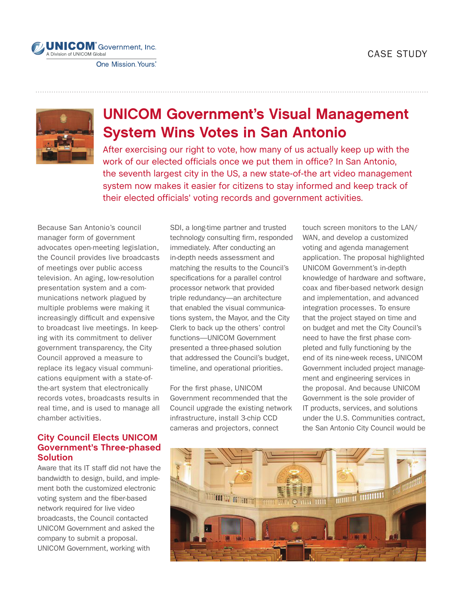## CASE STUDY



# UNICOM Government's Visual Management System Wins Votes in San Antonio

After exercising our right to vote, how many of us actually keep up with the work of our elected officials once we put them in office? In San Antonio, the seventh largest city in the US, a new state-of-the art video management system now makes it easier for citizens to stay informed and keep track of their elected officials' voting records and government activities.

Because San Antonio's council manager form of government advocates open-meeting legislation, the Council provides live broadcasts of meetings over public access television. An aging, low-resolution presentation system and a communications network plagued by multiple problems were making it increasingly difficult and expensive to broadcast live meetings. In keeping with its commitment to deliver government transparency, the City Council approved a measure to replace its legacy visual communications equipment with a state-ofthe-art system that electronically records votes, broadcasts results in real time, and is used to manage all chamber activities.

### **City Council Elects UNICOM Government's Three-phased Solution**

Aware that its IT staff did not have the bandwidth to design, build, and implement both the customized electronic voting system and the fiber-based network required for live video broadcasts, the Council contacted UNICOM Government and asked the company to submit a proposal. UNICOM Government, working with

SDI, a long-time partner and trusted technology consulting firm, responded immediately. After conducting an in-depth needs assessment and matching the results to the Council's specifications for a parallel control processor network that provided triple redundancy—an architecture that enabled the visual communications system, the Mayor, and the City Clerk to back up the others' control functions—UNICOM Government presented a three-phased solution that addressed the Council's budget, timeline, and operational priorities.

For the first phase, UNICOM Government recommended that the Council upgrade the existing network infrastructure, install 3-chip CCD cameras and projectors, connect

touch screen monitors to the LAN/ WAN, and develop a customized voting and agenda management application. The proposal highlighted UNICOM Government's in-depth knowledge of hardware and software, coax and fiber-based network design and implementation, and advanced integration processes. To ensure that the project stayed on time and on budget and met the City Council's need to have the first phase completed and fully functioning by the end of its nine-week recess, UNICOM Government included project management and engineering services in the proposal. And because UNICOM Government is the sole provider of IT products, services, and solutions under the U.S. Communities contract, the San Antonio City Council would be